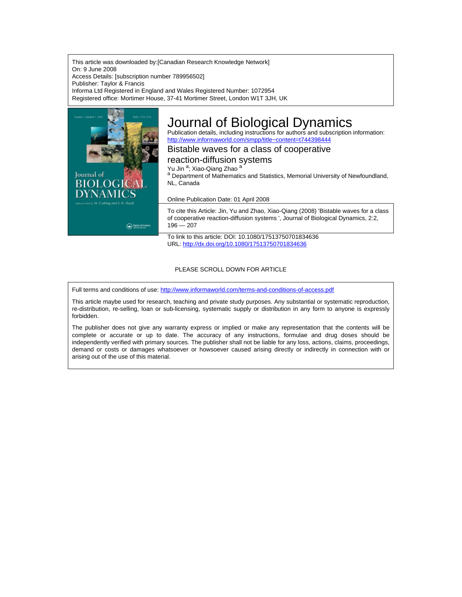This article was downloaded by:[Canadian Research Knowledge Network] On: 9 June 2008 Access Details: [subscription number 789956502] Publisher: Taylor & Francis Informa Ltd Registered in England and Wales Registered Number: 1072954 Registered office: Mortimer House, 37-41 Mortimer Street, London W1T 3JH, UK



# Journal of Biological Dynamics

Publication details, including instructions for authors and subscription information: <http://www.informaworld.com/smpp/title~content=t744398444>

Bistable waves for a class of cooperative

reaction-diffusion systems

Yu Jin <sup>a</sup>; Xiao-Qiang Zhao <sup>a</sup>

a Department of Mathematics and Statistics, Memorial University of Newfoundland, NL, Canada

Online Publication Date: 01 April 2008

To cite this Article: Jin, Yu and Zhao, Xiao-Qiang (2008) 'Bistable waves for a class of cooperative reaction-diffusion systems ', Journal of Biological Dynamics, 2:2,  $196 - 207$ 

To link to this article: DOI: 10.1080/17513750701834636 URL: <http://dx.doi.org/10.1080/17513750701834636>

### PLEASE SCROLL DOWN FOR ARTICLE

Full terms and conditions of use: <http://www.informaworld.com/terms-and-conditions-of-access.pdf>

This article maybe used for research, teaching and private study purposes. Any substantial or systematic reproduction, re-distribution, re-selling, loan or sub-licensing, systematic supply or distribution in any form to anyone is expressly forbidden.

The publisher does not give any warranty express or implied or make any representation that the contents will be complete or accurate or up to date. The accuracy of any instructions, formulae and drug doses should be independently verified with primary sources. The publisher shall not be liable for any loss, actions, claims, proceedings, demand or costs or damages whatsoever or howsoever caused arising directly or indirectly in connection with or arising out of the use of this material.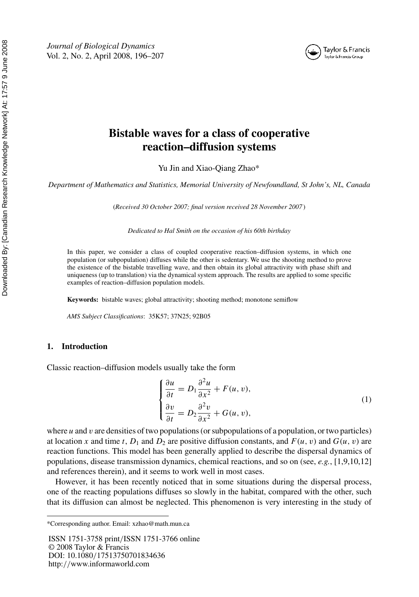*Journal of Biological Dynamics* Vol. 2, No. 2, April 2008, 196–207



Taylor & Francis Taylor & Francis Group

## **Bistable waves for a class of cooperative reaction–diffusion systems**

Yu Jin and Xiao-Qiang Zhao\*

*Department of Mathematics and Statistics, Memorial University of Newfoundland, St John's, NL, Canada*

(*Received 30 October 2007; final version received 28 November 2007* )

*Dedicated to Hal Smith on the occasion of his 60th birthday*

In this paper, we consider a class of coupled cooperative reaction–diffusion systems, in which one population (or subpopulation) diffuses while the other is sedentary. We use the shooting method to prove the existence of the bistable travelling wave, and then obtain its global attractivity with phase shift and uniqueness (up to translation) via the dynamical system approach. The results are applied to some specific examples of reaction–diffusion population models.

**Keywords:** bistable waves; global attractivity; shooting method; monotone semiflow

*AMS Subject Classifications*: 35K57; 37N25; 92B05

#### **1. Introduction**

Classic reaction–diffusion models usually take the form

$$
\begin{cases}\n\frac{\partial u}{\partial t} = D_1 \frac{\partial^2 u}{\partial x^2} + F(u, v), \\
\frac{\partial v}{\partial t} = D_2 \frac{\partial^2 v}{\partial x^2} + G(u, v),\n\end{cases} \tag{1}
$$

where *u* and *v* are densities of two populations (or subpopulations of a population, or two particles) at location *x* and time *t*,  $D_1$  and  $D_2$  are positive diffusion constants, and  $F(u, v)$  and  $G(u, v)$  are reaction functions. This model has been generally applied to describe the dispersal dynamics of populations, disease transmission dynamics, chemical reactions, and so on (see, *e.g.*, [1,9,10,12] and references therein), and it seems to work well in most cases.

However, it has been recently noticed that in some situations during the dispersal process, one of the reacting populations diffuses so slowly in the habitat, compared with the other, such that its diffusion can almost be neglected. This phenomenon is very interesting in the study of

ISSN 1751-3758 print*/*ISSN 1751-3766 online © 2008 Taylor & Francis DOI: 10.1080*/*17513750701834636 http:*//*www.informaworld.com

<sup>\*</sup>Corresponding author. Email: xzhao@math.mun.ca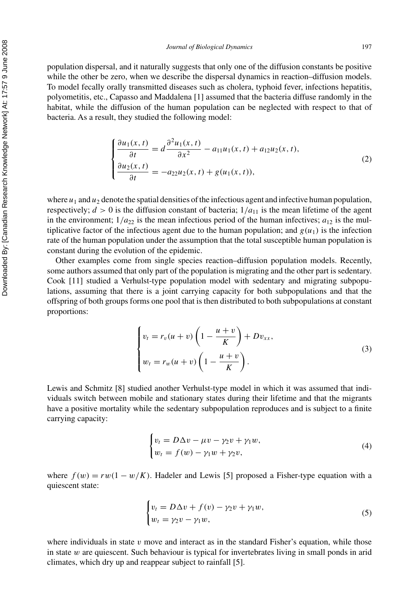population dispersal, and it naturally suggests that only one of the diffusion constants be positive while the other be zero, when we describe the dispersal dynamics in reaction–diffusion models. To model fecally orally transmitted diseases such as cholera, typhoid fever, infections hepatitis, polyometitis, etc., Capasso and Maddalena [1] assumed that the bacteria diffuse randomly in the habitat, while the diffusion of the human population can be neglected with respect to that of bacteria. As a result, they studied the following model:

$$
\begin{cases} \frac{\partial u_1(x,t)}{\partial t} = d \frac{\partial^2 u_1(x,t)}{\partial x^2} - a_{11} u_1(x,t) + a_{12} u_2(x,t), \\ \frac{\partial u_2(x,t)}{\partial t} = -a_{22} u_2(x,t) + g(u_1(x,t)), \end{cases}
$$
(2)

where  $u_1$  and  $u_2$  denote the spatial densities of the infectious agent and infective human population, respectively;  $d > 0$  is the diffusion constant of bacteria;  $1/a_{11}$  is the mean lifetime of the agent in the environment;  $1/a_{22}$  is the mean infectious period of the human infectives;  $a_{12}$  is the multiplicative factor of the infectious agent due to the human population; and  $g(u_1)$  is the infection rate of the human population under the assumption that the total susceptible human population is constant during the evolution of the epidemic.

Other examples come from single species reaction–diffusion population models. Recently, some authors assumed that only part of the population is migrating and the other part is sedentary. Cook [11] studied a Verhulst-type population model with sedentary and migrating subpopulations, assuming that there is a joint carrying capacity for both subpopulations and that the offspring of both groups forms one pool that is then distributed to both subpopulations at constant proportions:

$$
\begin{cases}\nv_t = r_v(u+v)\left(1 - \frac{u+v}{K}\right) + Dv_{xx}, \\
w_t = r_w(u+v)\left(1 - \frac{u+v}{K}\right).\n\end{cases}
$$
\n(3)

Lewis and Schmitz [8] studied another Verhulst-type model in which it was assumed that individuals switch between mobile and stationary states during their lifetime and that the migrants have a positive mortality while the sedentary subpopulation reproduces and is subject to a finite carrying capacity:

$$
\begin{cases} v_t = D\Delta v - \mu v - \gamma_2 v + \gamma_1 w, \\ w_t = f(w) - \gamma_1 w + \gamma_2 v, \end{cases}
$$
\n(4)

where  $f(w) = rw(1 - w/K)$ . Hadeler and Lewis [5] proposed a Fisher-type equation with a quiescent state:

$$
\begin{cases} v_t = D\Delta v + f(v) - \gamma_2 v + \gamma_1 w, \\ w_t = \gamma_2 v - \gamma_1 w, \end{cases}
$$
\n
$$
(5)
$$

where individuals in state  $v$  move and interact as in the standard Fisher's equation, while those in state *w* are quiescent. Such behaviour is typical for invertebrates living in small ponds in arid climates, which dry up and reappear subject to rainfall [5].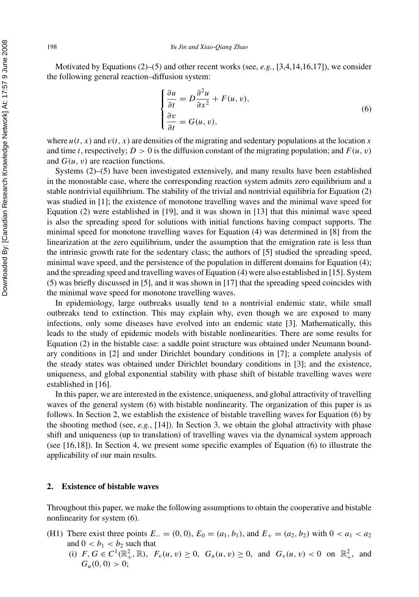Motivated by Equations (2)–(5) and other recent works (see, *e.g.*, [3,4,14,16,17]), we consider the following general reaction–diffusion system:

$$
\begin{cases}\n\frac{\partial u}{\partial t} = D \frac{\partial^2 u}{\partial x^2} + F(u, v), \\
\frac{\partial v}{\partial t} = G(u, v),\n\end{cases}
$$
\n(6)

where  $u(t, x)$  and  $v(t, x)$  are densities of the migrating and sedentary populations at the location *x* and time *t*, respectively;  $D > 0$  is the diffusion constant of the migrating population; and  $F(u, v)$ and *G(u, v)* are reaction functions.

Systems (2)–(5) have been investigated extensively, and many results have been established in the monostable case, where the corresponding reaction system admits zero equilibrium and a stable nontrivial equilibrium. The stability of the trivial and nontrivial equilibria for Equation (2) was studied in [1]; the existence of monotone travelling waves and the minimal wave speed for Equation (2) were established in [19], and it was shown in [13] that this minimal wave speed is also the spreading speed for solutions with initial functions having compact supports. The minimal speed for monotone travelling waves for Equation (4) was determined in [8] from the linearization at the zero equilibrium, under the assumption that the emigration rate is less than the intrinsic growth rate for the sedentary class; the authors of [5] studied the spreading speed, minimal wave speed, and the persistence of the population in different domains for Equation (4); and the spreading speed and travelling waves of Equation (4) were also established in [15]. System (5) was briefly discussed in [5], and it was shown in [17] that the spreading speed coincides with the minimal wave speed for monotone travelling waves.

In epidemiology, large outbreaks usually tend to a nontrivial endemic state, while small outbreaks tend to extinction. This may explain why, even though we are exposed to many infections, only some diseases have evolved into an endemic state [3]. Mathematically, this leads to the study of epidemic models with bistable nonlinearities. There are some results for Equation (2) in the bistable case: a saddle point structure was obtained under Neumann boundary conditions in [2] and under Dirichlet boundary conditions in [7]; a complete analysis of the steady states was obtained under Dirichlet boundary conditions in [3]; and the existence, uniqueness, and global exponential stability with phase shift of bistable travelling waves were established in [16].

In this paper, we are interested in the existence, uniqueness, and global attractivity of travelling waves of the general system (6) with bistable nonlinearity. The organization of this paper is as follows. In Section 2, we establish the existence of bistable travelling waves for Equation (6) by the shooting method (see, *e.g.*, [14]). In Section 3, we obtain the global attractivity with phase shift and uniqueness (up to translation) of travelling waves via the dynamical system approach (see [16,18]). In Section 4, we present some specific examples of Equation (6) to illustrate the applicability of our main results.

#### **2. Existence of bistable waves**

Throughout this paper, we make the following assumptions to obtain the cooperative and bistable nonlinearity for system (6).

- (H1) There exist three points  $E_-(0,0)$ ,  $E_0 = (a_1, b_1)$ , and  $E_+ = (a_2, b_2)$  with  $0 < a_1 < a_2$ and  $0 < b_1 < b_2$  such that
	- (i)  $F, G \in C^1(\mathbb{R}^2_+, \mathbb{R})$ ,  $F_v(u, v) \ge 0$ ,  $G_u(u, v) \ge 0$ , and  $G_v(u, v) < 0$  on  $\mathbb{R}^2_+$ , and  $G_u(0,0) > 0;$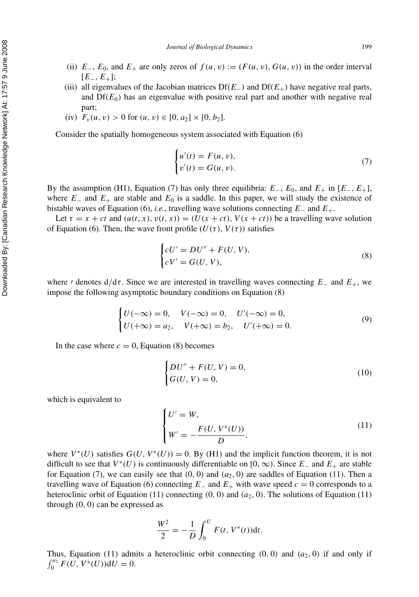- (ii)  $E_-, E_0$ , and  $E_+$  are only zeros of  $f(u, v) := (F(u, v), G(u, v))$  in the order interval [*E*−*, E*+];
- (iii) all eigenvalues of the Jacobian matrices Df*(E*−*)* and Df*(E*+*)* have negative real parts, and  $Df(E_0)$  has an eigenvalue with positive real part and another with negative real part;
- (iv)  $F_v(u, v) > 0$  for  $(u, v) \in [0, a_2] \times [0, b_2]$ .

Consider the spatially homogeneous system associated with Equation (6)

$$
\begin{cases}\nu'(t) = F(u, v), \\
v'(t) = G(u, v).\n\end{cases} \tag{7}
$$

By the assumption (H1), Equation (7) has only three equilibria:  $E_-, E_0$ , and  $E_+$  in  $[E_-, E_+]$ , where  $E_-\$  and  $E_+\$  are stable and  $E_0$  is a saddle. In this paper, we will study the existence of bistable waves of Equation (6), *i.e.*, travelling wave solutions connecting *E*<sup>−</sup> and *E*+.

Let  $\tau = x + ct$  and  $(u(t, x), v(t, x)) = (U(x + ct), V(x + ct))$  be a travelling wave solution of Equation (6). Then, the wave front profile  $(U(\tau), V(\tau))$  satisfies

$$
\begin{cases} cU' = DU'' + F(U, V), \\ cV' = G(U, V), \end{cases}
$$
\n
$$
(8)
$$

where *f* denotes  $d/d\tau$ . Since we are interested in travelling waves connecting  $E_-\$  and  $E_+$ , we impose the following asymptotic boundary conditions on Equation (8)

$$
\begin{cases}\nU(-\infty) = 0, & V(-\infty) = 0, & U'(-\infty) = 0, \\
U(+\infty) = a_2, & V(+\infty) = b_2, & U'(+\infty) = 0.\n\end{cases}
$$
\n(9)

In the case where  $c = 0$ , Equation (8) becomes

$$
\begin{cases}\nDU'' + F(U, V) = 0, \\
G(U, V) = 0,\n\end{cases}
$$
\n(10)

which is equivalent to

$$
\begin{cases}\nU' = W, \\
W' = -\frac{F(U, V^*(U))}{D},\n\end{cases}
$$
\n(11)

where  $V^*(U)$  satisfies  $G(U, V^*(U)) = 0$ . By (H1) and the implicit function theorem, it is not difficult to see that  $V^*(U)$  is continuously differentiable on  $[0, \infty)$ . Since  $E_-\$  and  $E_+$  are stable for Equation (7), we can easily see that  $(0, 0)$  and  $(a_2, 0)$  are saddles of Equation (11). Then a travelling wave of Equation (6) connecting  $E_$  and  $E_+$  with wave speed  $c = 0$  corresponds to a heteroclinic orbit of Equation (11) connecting  $(0, 0)$  and  $(a_2, 0)$ . The solutions of Equation (11) through *(*0*,* 0*)* can be expressed as

$$
\frac{W^2}{2} = -\frac{1}{D} \int_0^U F(t, V^*(t)) \mathrm{d}t.
$$

Thus, Equation (11) admits a heteroclinic orbit connecting  $(0, 0)$  and  $(a_2, 0)$  if and only if  $\int_0^{a_2} F(U, V^*(U)) dU = 0.$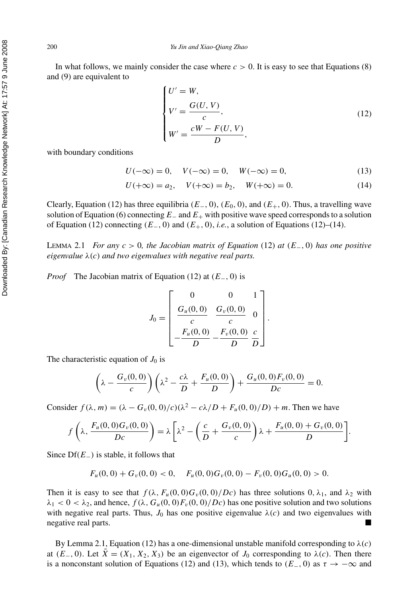In what follows, we mainly consider the case where  $c > 0$ . It is easy to see that Equations (8) and (9) are equivalent to

$$
\begin{cases}\nU' = W, \\
V' = \frac{G(U, V)}{c}, \\
W' = \frac{cW - F(U, V)}{D},\n\end{cases}
$$
\n(12)

with boundary conditions

$$
U(-\infty) = 0, \quad V(-\infty) = 0, \quad W(-\infty) = 0,
$$
\n(13)

$$
U(+\infty) = a_2, \quad V(+\infty) = b_2, \quad W(+\infty) = 0.
$$
 (14)

Clearly, Equation (12) has three equilibria  $(E_-, 0)$ ,  $(E_0, 0)$ , and  $(E_+, 0)$ . Thus, a travelling wave solution of Equation (6) connecting *E*<sup>−</sup> and *E*<sup>+</sup> with positive wave speed corresponds to a solution of Equation (12) connecting  $(E_-, 0)$  and  $(E_+, 0)$ , *i.e.*, a solution of Equations (12)–(14).

LEMMA 2.1 *For any c >* 0*, the Jacobian matrix of Equation* (12) *at (E*−*,* 0*) has one positive eigenvalue λ(c) and two eigenvalues with negative real parts.*

*Proof* The Jacobian matrix of Equation (12) at *(E*−*,* 0*)* is

$$
J_0 = \begin{bmatrix} 0 & 0 & 1 \\ \frac{G_u(0,0)}{c} & \frac{G_v(0,0)}{c} & 0 \\ -\frac{F_u(0,0)}{D} - \frac{F_v(0,0)}{D} & \frac{c}{D} \end{bmatrix}.
$$

The characteristic equation of  $J_0$  is

$$
\left(\lambda - \frac{G_v(0,0)}{c}\right)\left(\lambda^2 - \frac{c\lambda}{D} + \frac{F_u(0,0)}{D}\right) + \frac{G_u(0,0)F_v(0,0)}{Dc} = 0.
$$

Consider  $f(\lambda, m) = (\lambda - G_v(0, 0)/c)(\lambda^2 - c\lambda/D + F_u(0, 0)/D) + m$ . Then we have

$$
f\left(\lambda,\frac{F_u(0,0)G_v(0,0)}{Dc}\right)=\lambda\left[\lambda^2-\left(\frac{c}{D}+\frac{G_v(0,0)}{c}\right)\lambda+\frac{F_u(0,0)+G_v(0,0)}{D}\right].
$$

Since Df*(E*−*)* is stable, it follows that

$$
F_u(0,0) + G_v(0,0) < 0, \quad F_u(0,0)G_v(0,0) - F_v(0,0)G_u(0,0) > 0.
$$

Then it is easy to see that  $f(\lambda, F_u(0,0)G_v(0,0)/Dc)$  has three solutions  $0, \lambda_1$ , and  $\lambda_2$  with  $\lambda_1$  < 0 <  $\lambda_2$ , and hence,  $f(\lambda, G_u(0,0)F_v(0,0)/Dc)$  has one positive solution and two solutions with negative real parts. Thus,  $J_0$  has one positive eigenvalue  $\lambda(c)$  and two eigenvalues with negative real parts.

By Lemma 2.1, Equation (12) has a one-dimensional unstable manifold corresponding to  $\lambda(c)$ at  $(E_-, 0)$ . Let  $\overline{X} = (X_1, X_2, X_3)$  be an eigenvector of  $J_0$  corresponding to  $\lambda(c)$ . Then there is a nonconstant solution of Equations (12) and (13), which tends to  $(E_-, 0)$  as  $\tau \to -\infty$  and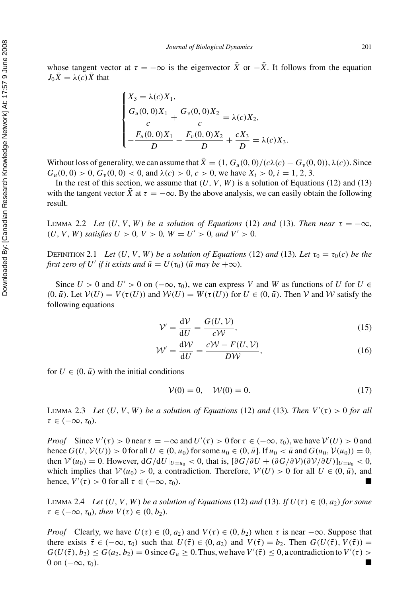whose tangent vector at  $\tau = -\infty$  is the eigenvector  $\bar{X}$  or  $-\bar{X}$ . It follows from the equation  $J_0\bar{X} = \lambda(c)\bar{X}$  that

$$
\begin{cases} X_3 = \lambda(c)X_1, \\ \frac{G_u(0,0)X_1}{c} + \frac{G_v(0,0)X_2}{c} = \lambda(c)X_2, \\ -\frac{F_u(0,0)X_1}{D} - \frac{F_v(0,0)X_2}{D} + \frac{cX_3}{D} = \lambda(c)X_3. \end{cases}
$$

Without loss of generality, we can assume that  $\bar{X} = (1, G_u(0, 0) / (c\lambda(c) - G_v(0, 0))$ ,  $\lambda(c)$ ). Since  $G_u(0, 0) > 0$ ,  $G_v(0, 0) < 0$ , and  $\lambda(c) > 0$ ,  $c > 0$ , we have  $X_i > 0$ ,  $i = 1, 2, 3$ .

In the rest of this section, we assume that  $(U, V, W)$  is a solution of Equations (12) and (13) with the tangent vector *X* at  $\tau = -\infty$ . By the above analysis, we can easily obtain the following result.

**LEMMA** 2.2 Let  $(U, V, W)$  be a solution of Equations (12) and (13). Then near  $\tau = -\infty$ ,  $(U, V, W)$  *satisfies*  $U > 0$ ,  $V > 0$ ,  $W = U' > 0$ , and  $V' > 0$ .

DEFINITION 2.1 *Let*  $(U, V, W)$  *be a solution of Equations* (12) *and* (13)*. Let*  $\tau_0 = \tau_0(c)$  *be the first zero of U' if it exists and*  $\bar{u} = U(\tau_0)$  ( $\bar{u}$  *may be* + $\infty$ ).

Since  $U > 0$  and  $U' > 0$  on  $(-\infty, \tau_0)$ , we can express V and W as functions of U for  $U \in$  $(0, \bar{u})$ . Let  $V(U) = V(\tau(U))$  and  $W(U) = W(\tau(U))$  for  $U \in (0, \bar{u})$ . Then V and W satisfy the following equations

$$
\mathcal{V}' = \frac{\mathrm{d}\mathcal{V}}{\mathrm{d}U} = \frac{G(U, \mathcal{V})}{c\mathcal{W}},\tag{15}
$$

$$
W' = \frac{dW}{dU} = \frac{cW - F(U, V)}{DW},
$$
\n(16)

for  $U \in (0, \bar{u})$  with the initial conditions

$$
\mathcal{V}(0) = 0, \quad \mathcal{W}(0) = 0. \tag{17}
$$

LEMMA 2.3 *Let*  $(U, V, W)$  *be a solution of Equations* (12) *and* (13)*. Then*  $V'(\tau) > 0$  *for all*  $\tau \in (-\infty, \tau_0)$ *.* 

*Proof* Since  $V'(\tau) > 0$  near  $\tau = -\infty$  and  $U'(\tau) > 0$  for  $\tau \in (-\infty, \tau_0)$ , we have  $V'(U) > 0$  and hence *G*(*U*,  $V$ (*U*)) > 0 for all *U* ∈ (0, *u*<sub>0</sub>) for some *u*<sub>0</sub> ∈ (0,  $\bar{u}$ ]. If *u*<sub>0</sub> <  $\bar{u}$  and *G*(*u*<sub>0</sub>,  $V$ (*u*<sub>0</sub>)) = 0, then  $V'(u_0) = 0$ . However,  $dG/dU|_{U=u_0} < 0$ , that is,  $[\partial G/\partial U + (\partial G/\partial V)(\partial V/\partial U)]_{U=u_0} < 0$ , which implies that  $V'(u_0) > 0$ , a contradiction. Therefore,  $V'(U) > 0$  for all  $U \in (0, \bar{u})$ , and hence,  $V'(\tau) > 0$  for all  $\tau \in (-\infty, \tau_0)$ .

LEMMA 2.4 *Let*  $(U, V, W)$  *be a solution of Equations* (12) *and* (13)*. If*  $U(\tau) \in (0, a_2)$  *for some*  $\tau \in (-\infty, \tau_0)$ *, then*  $V(\tau) \in (0, b_2)$ *.* 

*Proof* Clearly, we have  $U(\tau) \in (0, a_2)$  and  $V(\tau) \in (0, b_2)$  when  $\tau$  is near  $-\infty$ . Suppose that there exists  $\tilde{\tau} \in (-\infty, \tau_0)$  such that  $U(\tilde{\tau}) \in (0, a_2)$  and  $V(\tilde{\tau}) = b_2$ . Then  $G(U(\tilde{\tau}), V(\tilde{\tau})) =$  $G(U(\tilde{\tau}), b_2) \le G(a_2, b_2) = 0$  since  $G_u \ge 0$ . Thus, we have  $V'(\tilde{\tau}) \le 0$ , a contradiction to  $V'(\tau) >$ 0 on  $(-\infty, \tau_0)$ .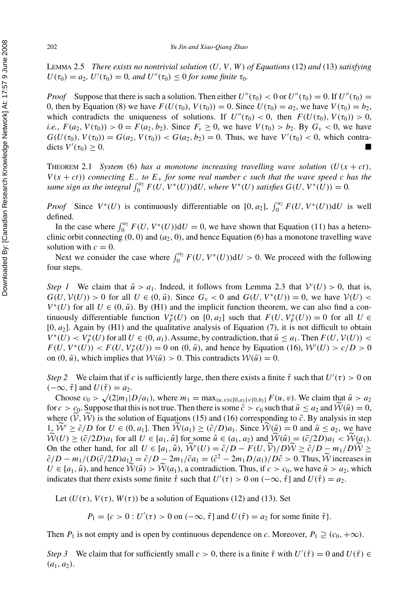LEMMA 2.5 *There exists no nontrivial solution (U, V, W) of Equations* (12) *and* (13) *satisfying*  $U(\tau_0) = a_2$ ,  $U'(\tau_0) = 0$ , and  $U''(\tau_0) \le 0$  for some finite  $\tau_0$ .

*Proof* Suppose that there is such a solution. Then either  $U''(\tau_0) < 0$  or  $U''(\tau_0) = 0$ . If  $U''(\tau_0) = 0$ 0, then by Equation (8) we have  $F(U(\tau_0), V(\tau_0)) = 0$ . Since  $U(\tau_0) = a_2$ , we have  $V(\tau_0) = b_2$ , which contradicts the uniqueness of solutions. If  $U''(\tau_0) < 0$ , then  $F(U(\tau_0), V(\tau_0)) > 0$ , *i.e.*,  $F(a_2, V(\tau_0)) > 0 = F(a_2, b_2)$ . Since  $F_v \ge 0$ , we have  $V(\tau_0) > b_2$ . By  $G_v < 0$ , we have  $G(U(\tau_0), V(\tau_0)) = G(a_2, V(\tau_0)) < G(a_2, b_2) = 0$ . Thus, we have  $V'(\tau_0) < 0$ , which contradicts  $V'(\tau_0) \geq 0$ .  $(\tau_0) \geq 0.$ 

THEOREM 2.1 *System* (6) *has a monotone increasing travelling wave solution*  $(U(x + ct))$ ,  $V(x + ct)$ ) *connecting*  $E_+$  *to*  $E_+$  *for some real number c such that the wave speed c has the* same sign as the integral  $\int_0^{a_2} F(U, V^*(U))dU$ , where  $V^*(U)$  satisfies  $G(U, V^*(U)) = 0$ .

*Proof* Since  $V^*(U)$  is continuously differentiable on [0*, a*<sub>2</sub>],  $\int_0^{a_2} F(U, V^*(U)) dU$  is well defined.

In the case where  $\int_0^{a_2} F(U, V^*(U)) dU = 0$ , we have shown that Equation (11) has a heteroclinic orbit connecting  $(0, 0)$  and  $(a_2, 0)$ , and hence Equation  $(6)$  has a monotone travelling wave solution with  $c = 0$ .

Next we consider the case where  $\int_0^{a_2} F(U, V^*(U)) dU > 0$ . We proceed with the following four steps.

*Step 1* We claim that  $\bar{u} > a_1$ . Indeed, it follows from Lemma 2.3 that  $V'(U) > 0$ , that is,  $G(U, V(U)) > 0$  for all  $U \in (0, \bar{u})$ . Since  $G_v < 0$  and  $G(U, V^*(U)) = 0$ , we have  $V(U) <$  $V^*(U)$  for all  $U \in (0, \bar{u})$ . By (H1) and the implicit function theorem, we can also find a continuously differentiable function  $V_F^*(U)$  on  $[0, a_2]$  such that  $F(U, V_F^*(U)) = 0$  for all  $U \in$ [0*, a*2]. Again by (H1) and the qualitative analysis of Equation (7), it is not difficult to obtain  $V^*(U) < V_F^*(U)$  for all  $U \in (0, a_1)$ . Assume, by contradiction, that  $\bar{u} \le a_1$ . Then  $F(U, V(U))$  <  $F(U, V^*(U)) < F(U, V_F^*(U)) = 0$  on  $(0, \bar{u})$ , and hence by Equation (16),  $W'(U) > c/D > 0$ on  $(0, \bar{u})$ , which implies that  $W(\bar{u}) > 0$ . This contradicts  $W(\bar{u}) = 0$ .

*Step 2* We claim that if *c* is sufficiently large, then there exists a finite  $\hat{\tau}$  such that  $U'(\tau) > 0$  on  $(-\infty, \hat{\tau}]$  and  $U(\hat{\tau}) = a_2$ .

Choose  $c_0 > \sqrt{2|m_1|D/a_1}$ , where  $m_1 = \max_{(u,v)\in[0,a_2]\times[0,b_2]} F(u, v)$ . We claim that  $\bar{u} > a_2$ for  $c > c_0$ . Suppose that this is not true. Then there is some  $\tilde{c} > c_0$  such that  $\bar{u} \le a_2$  and  $W(\bar{u}) = 0$ , where  $(V, W)$  is the solution of Equations (15) and (16) corresponding to  $\tilde{c}$ . By analysis in step 1,  $\widetilde{\mathcal{W}} \ge \widetilde{c}/D$  for  $U \in (0, a_1]$ . Then  $\widetilde{\mathcal{W}}(a_1) \ge (\widetilde{c}/D)a_1$ . Since  $\widetilde{\mathcal{W}}(\overline{u}) = 0$  and  $\overline{u} \le a_2$ , we have  $\widetilde{\mathcal{W}}(U) \geq (\tilde{c}/2D)a_1$  for all  $U \in [a_1, \hat{u}]$  for some  $\hat{u} \in (a_1, a_2)$  and  $\widetilde{\mathcal{W}}(\hat{u}) = (\tilde{c}/2D)a_1 < \widetilde{\mathcal{W}}(a_1)$ . On the other hand, for all  $U \in [a_1, \hat{u})$ ,  $\widetilde{W}'(U) = \frac{\tilde{c}}{D} - \frac{F(U, \widetilde{V})}{D \widetilde{W}} \geq \frac{\tilde{c}}{D} - \frac{m_1}{D} \widetilde{W} \geq$  $\tilde{c}/D - m_1/(D(\tilde{c}/2D)a_1) = \tilde{c}/D - 2m_1/\tilde{c}a_1 = (\tilde{c}^2 - 2m_1D/a_1)/D\tilde{c} > 0$ . Thus, W increases in  $U \in [a_1, \hat{u})$ , and hence  $\mathcal{W}(\hat{u}) > \mathcal{W}(a_1)$ , a contradiction. Thus, if  $c > c_0$ , we have  $\bar{u} > a_2$ , which indicates that there exists some finite  $\hat{\tau}$  such that  $U'(\tau) > 0$  on  $(-\infty, \hat{\tau}]$  and  $U(\hat{\tau}) = a_2$ .

Let  $(U(\tau), V(\tau), W(\tau))$  be a solution of Equations (12) and (13). Set

*P*<sub>1</sub> = {*c* > 0 : *U*'(*τ*) > 0 on (- $\infty$ ,  $\hat{\tau}$ ] and *U*( $\hat{\tau}$ ) = *a*<sub>2</sub> for some finite  $\hat{\tau}$ }*.* 

Then *P*<sub>1</sub> is not empty and is open by continuous dependence on *c*. Moreover,  $P_1 \supseteq (c_0, +\infty)$ .

*Step 3* We claim that for sufficiently small  $c > 0$ , there is a finite  $\bar{\tau}$  with  $U'(\bar{\tau}) = 0$  and  $U(\bar{\tau}) \in$  $(a_1, a_2)$ .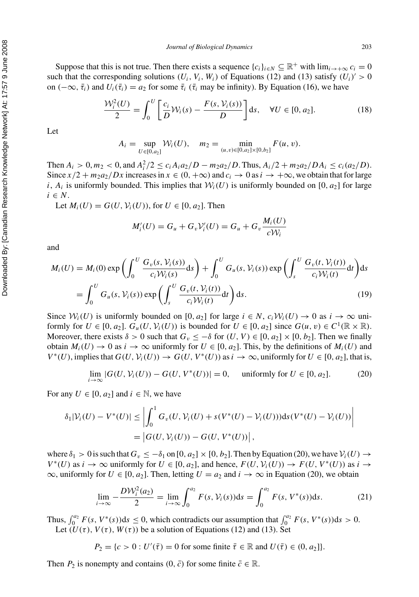Suppose that this is not true. Then there exists a sequence  ${c_i}_{i \in N} \subseteq \mathbb{R}^+$  with  $\lim_{i \to +\infty} c_i = 0$ such that the corresponding solutions  $(U_i, V_i, W_i)$  of Equations (12) and (13) satisfy  $(U_i)' > 0$ on  $(-\infty, \bar{\tau}_i)$  and  $U_i(\bar{\tau}_i) = a_2$  for some  $\bar{\tau}_i$  ( $\bar{\tau}_i$  may be infinity). By Equation (16), we have

$$
\frac{\mathcal{W}_i^2(U)}{2} = \int_0^U \left[ \frac{c_i}{D} \mathcal{W}_i(s) - \frac{F(s, \mathcal{V}_i(s))}{D} \right] ds, \quad \forall U \in [0, a_2].
$$
 (18)

Let

$$
A_i = \sup_{U \in [0,a_2]} \mathcal{W}_i(U), \quad m_2 = \min_{(u,v) \in [0,a_2] \times [0,b_2]} F(u,v).
$$

Then  $A_i > 0, m_2 < 0$ , and  $A_i^2/2 \le c_i A_i a_2/D - m_2 a_2/D$ . Thus,  $A_i/2 + m_2 a_2/D A_i \le c_i (a_2/D)$ . Since  $x/2 + m_2a_2/Dx$  increases in  $x \in (0, +\infty)$  and  $c_i \to 0$  as  $i \to +\infty$ , we obtain that for large *i*,  $A_i$  is uniformly bounded. This implies that  $W_i(U)$  is uniformly bounded on [0,  $a_2$ ] for large  $i \in N$ .

Let  $M_i(U) = G(U, V_i(U))$ , for  $U \in [0, a_2]$ . Then

$$
M_i'(U) = G_u + G_v \mathcal{V}_i'(U) = G_u + G_v \frac{M_i(U)}{c \mathcal{W}_i}
$$

and

$$
M_i(U) = M_i(0) \exp\left(\int_0^U \frac{G_v(s, V_i(s))}{c_i \mathcal{W}_i(s)} ds\right) + \int_0^U G_u(s, V_i(s)) \exp\left(\int_s^U \frac{G_v(t, V_i(t))}{c_i \mathcal{W}_i(t)} dt\right) ds
$$
  
= 
$$
\int_0^U G_u(s, V_i(s)) \exp\left(\int_s^U \frac{G_v(t, V_i(t))}{c_i \mathcal{W}_i(t)} dt\right) ds.
$$
 (19)

Since  $\mathcal{W}_i(U)$  is uniformly bounded on [0, a<sub>2</sub>] for large  $i \in N$ ,  $c_i \mathcal{W}_i(U) \to 0$  as  $i \to \infty$  uniformly for  $U \in [0, a_2]$ .  $G_u(U, V_i(U))$  is bounded for  $U \in [0, a_2]$  since  $G(u, v) \in C^1(\mathbb{R} \times \mathbb{R})$ . Moreover, there exists  $\delta > 0$  such that  $G_v \le -\delta$  for  $(U, V) \in [0, a_2] \times [0, b_2]$ . Then we finally obtain  $M_i(U) \to 0$  as  $i \to \infty$  uniformly for  $U \in [0, a_2]$ . This, by the definitions of  $M_i(U)$  and  $V^*(U)$ , implies that  $G(U, V_i(U)) \to G(U, V^*(U))$  as  $i \to \infty$ , uniformly for  $U \in [0, a_2]$ , that is,

$$
\lim_{i \to \infty} |G(U, V_i(U)) - G(U, V^*(U))| = 0, \quad \text{uniformly for } U \in [0, a_2].
$$
 (20)

For any  $U \in [0, a_2]$  and  $i \in \mathbb{N}$ , we have

$$
\delta_1 |V_i(U) - V^*(U)| \le \left| \int_0^1 G_v(U, V_i(U) + s(V^*(U) - V_i(U))) \mathrm{d} s(V^*(U) - V_i(U)) \right|
$$
  
=  $|G(U, V_i(U)) - G(U, V^*(U))|$ ,

where  $\delta_1 > 0$  is such that  $G_v \le -\delta_1$  on  $[0, a_2] \times [0, b_2]$ . Then by Equation (20), we have  $\mathcal{V}_i(U) \to$  $V^*(U)$  as  $i \to \infty$  uniformly for  $U \in [0, a_2]$ , and hence,  $F(U, V_i(U)) \to F(U, V^*(U))$  as  $i \to \infty$  $\infty$ , uniformly for  $U \in [0, a_2]$ . Then, letting  $U = a_2$  and  $i \to \infty$  in Equation (20), we obtain

$$
\lim_{i \to \infty} -\frac{D\mathcal{W}_i^2(a_2)}{2} = \lim_{i \to \infty} \int_0^{a_2} F(s, \mathcal{V}_i(s)) ds = \int_0^{a_2} F(s, V^*(s)) ds.
$$
 (21)

Thus,  $\int_0^{a_2} F(s, V^*(s))ds \le 0$ , which contradicts our assumption that  $\int_0^{a_2} F(s, V^*(s))ds > 0$ . Let  $(U(\tau), V(\tau), W(\tau))$  be a solution of Equations (12) and (13). Set

$$
P_2 = \{c > 0 : U'(\bar{\tau}) = 0 \text{ for some finite } \bar{\tau} \in \mathbb{R} \text{ and } U(\bar{\tau}) \in (0, a_2] \}.
$$

Then  $P_2$  is nonempty and contains  $(0, \bar{c})$  for some finite  $\bar{c} \in \mathbb{R}$ .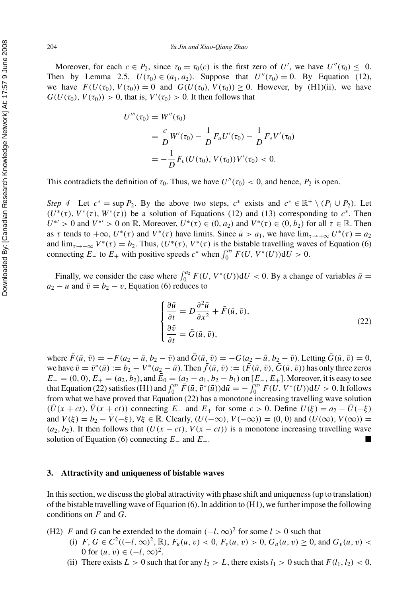Moreover, for each  $c \in P_2$ , since  $\tau_0 = \tau_0(c)$  is the first zero of *U'*, we have  $U''(\tau_0) \leq 0$ . Then by Lemma 2.5,  $U(\tau_0) \in (a_1, a_2)$ . Suppose that  $U''(\tau_0) = 0$ . By Equation (12), we have  $F(U(\tau_0), V(\tau_0)) = 0$  and  $G(U(\tau_0), V(\tau_0)) \ge 0$ . However, by (H1)(ii), we have  $G(U(\tau_0), V(\tau_0)) > 0$ , that is,  $V'(\tau_0) > 0$ . It then follows that

$$
U'''(\tau_0) = W''(\tau_0)
$$
  
=  $\frac{c}{D}W'(\tau_0) - \frac{1}{D}F_uU'(\tau_0) - \frac{1}{D}F_vV'(\tau_0)$   
=  $-\frac{1}{D}F_v(U(\tau_0), V(\tau_0))V'(\tau_0) < 0.$ 

This contradicts the definition of  $\tau_0$ . Thus, we have  $U''(\tau_0) < 0$ , and hence,  $P_2$  is open.

*Step 4* Let  $c^* = \sup P_2$ . By the above two steps,  $c^*$  exists and  $c^* \in \mathbb{R}^+ \setminus (P_1 \cup P_2)$ . Let  $(U^*(\tau), V^*(\tau), W^*(\tau))$  be a solution of Equations (12) and (13) corresponding to  $c^*$ . Then  $U^{*'} > 0$  and  $V^{*'} > 0$  on R. Moreover,  $U^{*}(\tau) \in (0, a_2)$  and  $V^{*}(\tau) \in (0, b_2)$  for all  $\tau \in \mathbb{R}$ . Then as  $\tau$  tends to  $+\infty$ ,  $U^*(\tau)$  and  $V^*(\tau)$  have limits. Since  $\bar{u} > a_1$ , we have  $\lim_{\tau \to +\infty} U^*(\tau) = a_2$ and  $\lim_{\tau \to +\infty} V^*(\tau) = b_2$ . Thus,  $(U^*(\tau), V^*(\tau))$  is the bistable travelling waves of Equation (6) connecting  $E_$  to  $E_+$  with positive speeds  $c^*$  when  $\int_0^{a_2} F(U, V^*(U)) dU > 0$ .

Finally, we consider the case where  $\int_0^{a_2} F(U, V^*(U)) dU < 0$ . By a change of variables  $\bar{u} =$  $a_2 - u$  and  $\bar{v} = b_2 - v$ , Equation (6) reduces to

$$
\begin{cases}\n\frac{\partial \bar{u}}{\partial t} = D \frac{\partial^2 \bar{u}}{\partial x^2} + \bar{F}(\bar{u}, \bar{v}), \\
\frac{\partial \bar{v}}{\partial t} = \bar{G}(\bar{u}, \bar{v}),\n\end{cases}
$$
\n(22)

where  $\bar{F}(\bar{u}, \bar{v}) = -F(a_2 - \bar{u}, b_2 - \bar{v})$  and  $\bar{G}(\bar{u}, \bar{v}) = -G(a_2 - \bar{u}, b_2 - \bar{v})$ . Letting  $\bar{G}(\bar{u}, \bar{v}) = 0$ , we have  $\bar{v} = \bar{v}^*(\bar{u}) := b_2 - V^*(a_2 - \bar{u})$ . Then  $\bar{f}(\bar{u}, \bar{v}) := (\bar{F}(\bar{u}, \bar{v}), \bar{G}(\bar{u}, \bar{v}))$  has only three zeros  $E_0 = (0, 0), E_+ = (a_2, b_2)$ , and  $E_0 = (a_2 - a_1, b_2 - b_1)$  on  $[E_-, E_+]$ . Moreover, it is easy to see that Equation (22) satisfies (H1) and  $\int_0^{a_2} \bar{F}(\bar{u}, \bar{v}^*(\bar{u})) d\bar{u} = -\int_0^{a_2} F(U, V^*(U)) dU > 0$ . It follows from what we have proved that Equation (22) has a monotone increasing travelling wave solution  $(\bar{U}(x+ct), \bar{V}(x+ct))$  connecting  $E_-\$  and  $E_+\$  for some  $c > 0$ . Define  $U(\xi) = a_2 - \bar{U}(-\xi)$ and  $V(\xi) = b_2 - \bar{V}(-\xi)$ ,  $\forall \xi \in \mathbb{R}$ . Clearly,  $(U(-\infty), V(-\infty)) = (0, 0)$  and  $(U(\infty), V(\infty)) =$  $(a_2, b_2)$ . It then follows that  $(U(x - ct), V(x - ct))$  is a monotone increasing travelling wave solution of Equation (6) connecting  $E_$  and  $E_+$ .  $\blacksquare$ 

#### **3. Attractivity and uniqueness of bistable waves**

In this section, we discuss the global attractivity with phase shift and uniqueness (up to translation) of the bistable travelling wave of Equation (6). In addition to (H1), we further impose the following conditions on *F* and *G*.

- (H2) *F* and *G* can be extended to the domain  $(-l, \infty)^2$  for some  $l > 0$  such that
	- (i) *F*, *G*  $\in C^2((-l, \infty)^2, \mathbb{R})$ ,  $F_u(u, v) < 0$ ,  $F_v(u, v) > 0$ ,  $G_u(u, v) \ge 0$ , and  $G_v(u, v) <$ 0 for  $(u, v) \in (-l, \infty)^2$ .
	- (ii) There exists  $L > 0$  such that for any  $l_2 > L$ , there exists  $l_1 > 0$  such that  $F(l_1, l_2) < 0$ .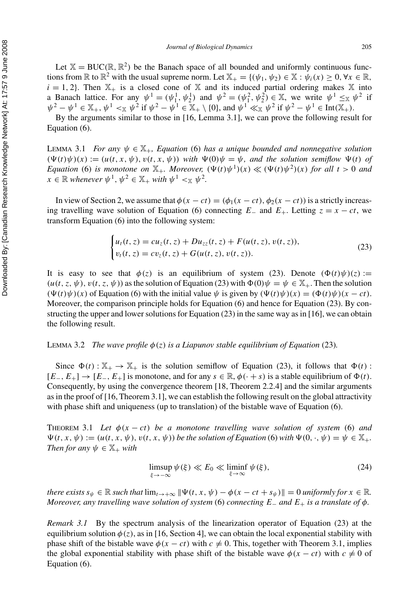Let  $X = BUC(\mathbb{R}, \mathbb{R}^2)$  be the Banach space of all bounded and uniformly continuous functions from  $\mathbb R$  to  $\mathbb R^2$  with the usual supreme norm. Let  $\mathbb X_+ = \{(\psi_1, \psi_2) \in \mathbb X : \psi_i(x) \geq 0, \forall x \in \mathbb R,$  $i = 1, 2$ . Then  $X_+$  is a closed cone of X and its induced partial ordering makes X into a Banach lattice. For any  $\psi^1 = (\psi_1^1, \psi_2^1)$  and  $\psi^2 = (\psi_1^2, \psi_2^2) \in \mathbb{X}$ , we write  $\psi^1 \leq_\mathbb{X} \psi^2$  if  $\psi^2 - \psi^1 \in \mathbb{X}_+$ ,  $\psi^1 <_{\mathbb{X}} \psi^2$  if  $\psi^2 - \psi^1 \in \mathbb{X}_+ \setminus \{0\}$ , and  $\psi^1 \ll_{\mathbb{X}} \psi^2$  if  $\psi^2 - \psi^1 \in \text{Int}(\mathbb{X}_+)$ .

By the arguments similar to those in [16, Lemma 3.1], we can prove the following result for Equation (6).

LEMMA 3.1 *For any ψ* ∈ X+*, Equation* (6) *has a unique bounded and nonnegative solution*  $(\Psi(t)\psi)(x) := (u(t, x, \psi), v(t, x, \psi))$  *with*  $\Psi(0)\psi = \psi$ *, and the solution semiflow*  $\Psi(t)$  *of Equation* (6) *is monotone on*  $\mathbb{X}_+$ *. Moreover,*  $(\Psi(t)\psi^1)(x) \ll (\Psi(t)\psi^2)(x)$  *for all*  $t > 0$  *and*  $x \in \mathbb{R}$  *whenever*  $\psi^1$ ,  $\psi^2 \in \mathbb{X}_+$  *with*  $\psi^1 \leq \mathbb{X}$   $\psi^2$ .

In view of Section 2, we assume that  $\phi(x - ct) = (\phi_1(x - ct), \phi_2(x - ct))$  is a strictly increasing travelling wave solution of Equation (6) connecting  $E_$  and  $E_+$ . Letting  $z = x - ct$ , we transform Equation (6) into the following system:

$$
\begin{cases} u_t(t, z) = cu_z(t, z) + Du_{zz}(t, z) + F(u(t, z), v(t, z)), \\ v_t(t, z) = cv_z(t, z) + G(u(t, z), v(t, z)). \end{cases}
$$
(23)

It is easy to see that  $\phi(z)$  is an equilibrium of system (23). Denote  $(\Phi(t)\psi)(z)$  :=  $(u(t, z, \psi), v(t, z, \psi))$  as the solution of Equation (23) with  $\Phi(0)\psi = \psi \in \mathbb{X}_{+}$ . Then the solution  $(\Psi(t)\psi)(x)$  of Equation (6) with the initial value  $\psi$  is given by  $(\Psi(t)\psi)(x) = (\Phi(t)\psi)(x - ct)$ . Moreover, the comparison principle holds for Equation (6) and hence for Equation (23). By constructing the upper and lower solutions for Equation (23) in the same way as in [16], we can obtain the following result.

#### LEMMA 3.2 *The wave profile*  $\phi(z)$  *is a Liapunov stable equilibrium of Equation* (23)*.*

Since  $\Phi(t): \mathbb{X}_+ \to \mathbb{X}_+$  is the solution semiflow of Equation (23), it follows that  $\Phi(t)$ :  $[E_-, E_+] \to [E_-, E_+]$  is monotone, and for any  $s \in \mathbb{R}, \phi(\cdot + s)$  is a stable equilibrium of  $\Phi(t)$ . Consequently, by using the convergence theorem [18, Theorem 2.2.4] and the similar arguments as in the proof of [16, Theorem 3.1], we can establish the following result on the global attractivity with phase shift and uniqueness (up to translation) of the bistable wave of Equation (6).

THEOREM 3.1 Let  $\phi(x-ct)$  be a monotone travelling wave solution of system (6) and  $\Psi(t, x, \psi) := (u(t, x, \psi), v(t, x, \psi))$  *be the solution of Equation* (6) *with*  $\Psi(0, \cdot, \psi) = \psi \in \mathbb{X}_{+}$ *. Then for any*  $\psi \in \mathbb{X}_+$  *with* 

$$
\limsup_{\xi \to -\infty} \psi(\xi) \ll E_0 \ll \liminf_{\xi \to \infty} \psi(\xi),\tag{24}
$$

*there exists*  $s_{\psi} \in \mathbb{R}$  *such that*  $\lim_{t \to +\infty} \|\Psi(t, x, \psi) - \phi(x - ct + s_{\psi})\| = 0$  *uniformly for*  $x \in \mathbb{R}$ *. Moreover, any travelling wave solution of system* (6) *connecting E*<sup>−</sup> *and E*<sup>+</sup> *is a translate of φ.*

*Remark 3.1* By the spectrum analysis of the linearization operator of Equation (23) at the equilibrium solution  $\phi(z)$ , as in [16, Section 4], we can obtain the local exponential stability with phase shift of the bistable wave  $\phi(x - ct)$  with  $c \neq 0$ . This, together with Theorem 3.1, implies the global exponential stability with phase shift of the bistable wave  $\phi(x - ct)$  with  $c \neq 0$  of Equation (6).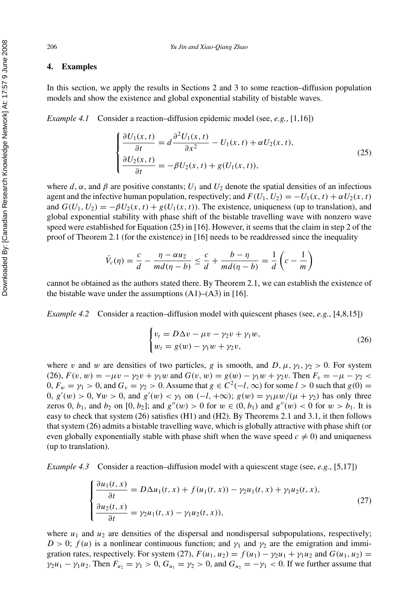#### **4. Examples**

In this section, we apply the results in Sections 2 and 3 to some reaction–diffusion population models and show the existence and global exponential stability of bistable waves.

*Example 4.1* Consider a reaction–diffusion epidemic model (see, *e.g.*, [1,16])

$$
\begin{cases}\n\frac{\partial U_1(x,t)}{\partial t} = d \frac{\partial^2 U_1(x,t)}{\partial x^2} - U_1(x,t) + \alpha U_2(x,t), \\
\frac{\partial U_2(x,t)}{\partial t} = -\beta U_2(x,t) + g(U_1(x,t)),\n\end{cases} (25)
$$

where *d*,  $\alpha$ , and  $\beta$  are positive constants;  $U_1$  and  $U_2$  denote the spatial densities of an infectious agent and the infective human population, respectively; and  $F(U_1, U_2) = -U_1(x, t) + \alpha U_2(x, t)$ and  $G(U_1, U_2) = -\beta U_2(x, t) + g(U_1(x, t))$ . The existence, uniqueness (up to translation), and global exponential stability with phase shift of the bistable travelling wave with nonzero wave speed were established for Equation (25) in [16]. However, it seems that the claim in step 2 of the proof of Theorem 2.1 (for the existence) in [16] needs to be readdressed since the inequality

$$
\dot{V}_c(\eta) = \frac{c}{d} - \frac{\eta - \alpha u_2}{m d(\eta - b)} \le \frac{c}{d} + \frac{b - \eta}{m d(\eta - b)} = \frac{1}{d} \left( c - \frac{1}{m} \right)
$$

cannot be obtained as the authors stated there. By Theorem 2.1, we can establish the existence of the bistable wave under the assumptions  $(A1)$ – $(A3)$  in [16].

*Example 4.2* Consider a reaction–diffusion model with quiescent phases (see, *e.g.*, [4,8,15])

$$
\begin{cases} v_t = D\Delta v - \mu v - \gamma_2 v + \gamma_1 w, \\ w_t = g(w) - \gamma_1 w + \gamma_2 v, \end{cases}
$$
 (26)

where *v* and *w* are densities of two particles, *g* is smooth, and *D*,  $\mu$ ,  $\gamma_1$ ,  $\gamma_2 > 0$ . For system (26),  $F(v, w) = -\mu v - \gamma_2 v + \gamma_1 w$  and  $G(v, w) = g(w) - \gamma_1 w + \gamma_2 v$ . Then  $F_v = -\mu - \gamma_2 <$  $0, F_w = \gamma_1 > 0$ , and  $G_v = \gamma_2 > 0$ . Assume that  $g \in C^2(-l, \infty)$  for some  $l > 0$  such that  $g(0) =$ 0, *g*<sup>'</sup>(*w*) > 0, ∀*w* > 0, and *g*<sup>'</sup>(*w*) < γ<sub>1</sub> on (−*l*, +∞); *g*(*w*) = γ<sub>1</sub>*μw*/(*μ* + γ<sub>2</sub>) has only three zeros 0,  $b_1$ , and  $b_2$  on  $[0, b_2]$ ; and  $g''(w) > 0$  for  $w \in (0, b_1)$  and  $g''(w) < 0$  for  $w > b_1$ . It is easy to check that system (26) satisfies (H1) and (H2). By Theorems 2.1 and 3.1, it then follows that system (26) admits a bistable travelling wave, which is globally attractive with phase shift (or even globally exponentially stable with phase shift when the wave speed  $c \neq 0$ ) and uniqueness (up to translation).

*Example 4.3* Consider a reaction–diffusion model with a quiescent stage (see, *e.g.*, [5,17])

$$
\begin{cases} \frac{\partial u_1(t,x)}{\partial t} = D\Delta u_1(t,x) + f(u_1(t,x)) - \gamma_2 u_1(t,x) + \gamma_1 u_2(t,x), \\ \frac{\partial u_2(t,x)}{\partial t} = \gamma_2 u_1(t,x) - \gamma_1 u_2(t,x)), \end{cases} \tag{27}
$$

where  $u_1$  and  $u_2$  are densities of the dispersal and nondispersal subpopulations, respectively;  $D > 0$ ;  $f(u)$  is a nonlinear continuous function; and  $\gamma_1$  and  $\gamma_2$  are the emigration and immigration rates, respectively. For system (27),  $F(u_1, u_2) = f(u_1) - \gamma_2 u_1 + \gamma_1 u_2$  and  $G(u_1, u_2) =$ *γ*<sub>2</sub>*u*<sub>1</sub> − *γ*<sub>1</sub>*u*<sub>2</sub>. Then  $F_{u_2} = \gamma_1 > 0$ ,  $G_{u_1} = \gamma_2 > 0$ , and  $G_{u_2} = -\gamma_1 < 0$ . If we further assume that